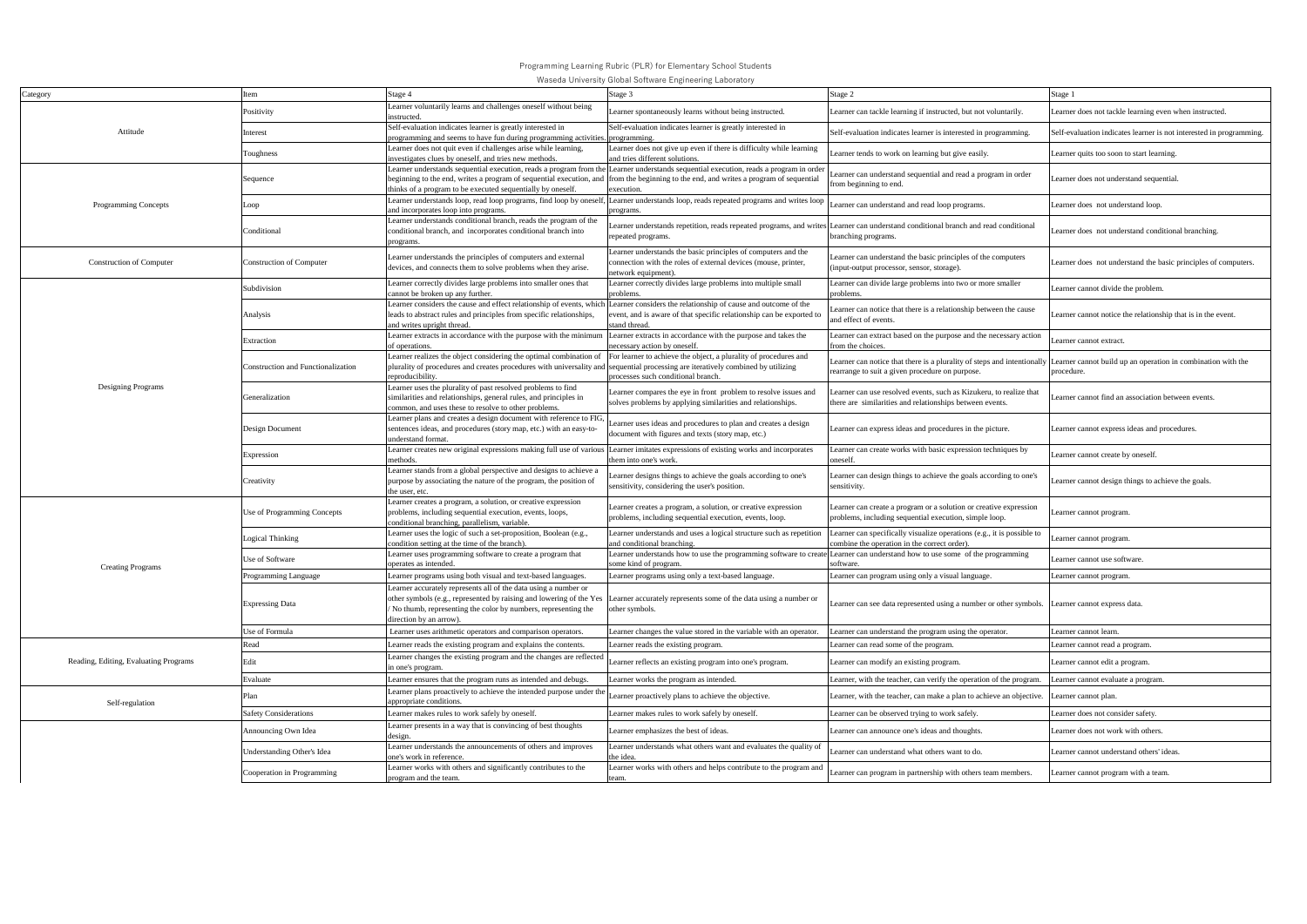|                                       |                                           |                                                                                                                                                                                                                                                                                                                                               | wascua University Global Jultware Engineering Laburatury                                                                                                |                                                                                                                                |                                                                            |
|---------------------------------------|-------------------------------------------|-----------------------------------------------------------------------------------------------------------------------------------------------------------------------------------------------------------------------------------------------------------------------------------------------------------------------------------------------|---------------------------------------------------------------------------------------------------------------------------------------------------------|--------------------------------------------------------------------------------------------------------------------------------|----------------------------------------------------------------------------|
| Category                              | Item                                      | Stage 4                                                                                                                                                                                                                                                                                                                                       | Stage 3                                                                                                                                                 | Stage 2                                                                                                                        | Stage 1                                                                    |
| Attitude                              | Positivity                                | Learner voluntarily learns and challenges oneself without being<br>instructed.                                                                                                                                                                                                                                                                | Learner spontaneously learns without being instructed.                                                                                                  | Learner can tackle learning if instructed, but not voluntarily.                                                                | Learner does not tackle learning even when instructed.                     |
|                                       | Interest                                  | Self-evaluation indicates learner is greatly interested in<br>programming and seems to have fun during programming activities.                                                                                                                                                                                                                | Self-evaluation indicates learner is greatly interested in<br>programming.                                                                              | Self-evaluation indicates learner is interested in programming.                                                                | Self-evaluation indicates learner is not interested in programming.        |
|                                       | Toughness                                 | Learner does not quit even if challenges arise while learning,<br>investigates clues by oneself, and tries new methods.                                                                                                                                                                                                                       | Learner does not give up even if there is difficulty while learning<br>and tries different solutions.                                                   | Learner tends to work on learning but give easily.                                                                             | Learner quits too soon to start learning.                                  |
| Programming Concepts                  | Sequence                                  | Learner understands sequential execution, reads a program from the Learner understands sequential execution, reads a program in order<br>beginning to the end, writes a program of sequential execution, and from the beginning to the end, and writes a program of sequential<br>thinks of a program to be executed sequentially by oneself. | execution.                                                                                                                                              | Learner can understand sequential and read a program in order<br>from beginning to end.                                        | Learner does not understand sequential.                                    |
|                                       | Loop                                      | Learner understands loop, read loop programs, find loop by oneself, Learner understands loop, reads repeated programs and writes loop<br>and incorporates loop into programs.                                                                                                                                                                 | programs.                                                                                                                                               | Learner can understand and read loop programs.                                                                                 | Learner does not understand loop.                                          |
|                                       | Conditional                               | Learner understands conditional branch, reads the program of the<br>conditional branch, and incorporates conditional branch into<br>programs.                                                                                                                                                                                                 | earner understands repetition, reads repeated programs, and writes Learner can understand conditional branch and read conditional<br>repeated programs. | branching programs.                                                                                                            | Learner does not understand conditional branching.                         |
| <b>Construction of Computer</b>       | <b>Construction of Computer</b>           | Learner understands the principles of computers and external<br>devices, and connects them to solve problems when they arise.                                                                                                                                                                                                                 | Learner understands the basic principles of computers and the<br>connection with the roles of external devices (mouse, printer,<br>network equipment)   | Learner can understand the basic principles of the computers<br>(input-output processor, sensor, storage).                     | Learner does not understand the basic principles of computers.             |
|                                       | Subdivision                               | Learner correctly divides large problems into smaller ones that<br>cannot be broken up any further.                                                                                                                                                                                                                                           | Learner correctly divides large problems into multiple small<br>problems.                                                                               | Learner can divide large problems into two or more smaller<br>problems                                                         | Learner cannot divide the problem.                                         |
| Designing Programs                    | Analysis                                  | Learner considers the cause and effect relationship of events, which Learner considers the relationship of cause and outcome of the<br>leads to abstract rules and principles from specific relationships,<br>and writes upright thread.                                                                                                      | vent, and is aware of that specific relationship can be exported to<br>stand thread.                                                                    | earner can notice that there is a relationship between the cause<br>and effect of events.                                      | Learner cannot notice the relationship that is in the event.               |
|                                       | Extraction                                | Learner extracts in accordance with the purpose with the minimum<br>of operations.                                                                                                                                                                                                                                                            | Learner extracts in accordance with the purpose and takes the<br>necessary action by oneself                                                            | Learner can extract based on the purpose and the necessary action<br>from the choices.                                         | Learner cannot extract.                                                    |
|                                       | <b>Construction and Functionalization</b> | Learner realizes the object considering the optimal combination of For learner to achieve the object, a plurality of procedures and<br>plurality of procedures and creates procedures with universality and<br>reproducibility.                                                                                                               | sequential processing are iteratively combined by utilizing<br>processes such conditional branch.                                                       | Learner can notice that there is a plurality of steps and intentionally<br>rearrange to suit a given procedure on purpose.     | Learner cannot build up an operation in combination with the<br>procedure. |
|                                       | Generalization                            | Learner uses the plurality of past resolved problems to find<br>similarities and relationships, general rules, and principles in<br>common, and uses these to resolve to other problems.                                                                                                                                                      | Learner compares the eye in front problem to resolve issues and<br>solves problems by applying similarities and relationships.                          | Learner can use resolved events, such as Kizukeru, to realize that<br>there are similarities and relationships between events. | Learner cannot find an association between events.                         |
|                                       | Design Document                           | Learner plans and creates a design document with reference to FIG,<br>sentences ideas, and procedures (story map, etc.) with an easy-to-<br>understand format                                                                                                                                                                                 | earner uses ideas and procedures to plan and creates a design<br>document with figures and texts (story map, etc.)                                      | Learner can express ideas and procedures in the picture.                                                                       | Learner cannot express ideas and procedures.                               |
|                                       | Expression                                | Learner creates new original expressions making full use of various Learner imitates expressions of existing works and incorporates<br>methods.                                                                                                                                                                                               | them into one's work.                                                                                                                                   | Learner can create works with basic expression techniques by<br>oneself.                                                       | Learner cannot create by oneself.                                          |
|                                       | Creativity                                | Learner stands from a global perspective and designs to achieve a<br>purpose by associating the nature of the program, the position of<br>the user, etc.                                                                                                                                                                                      | earner designs things to achieve the goals according to one's<br>sensitivity, considering the user's position.                                          | Learner can design things to achieve the goals according to one's<br>sensitivity.                                              | Learner cannot design things to achieve the goals.                         |
| <b>Creating Programs</b>              | Use of Programming Concepts               | Learner creates a program, a solution, or creative expression<br>problems, including sequential execution, events, loops,<br>conditional branching, parallelism, variable.                                                                                                                                                                    | Learner creates a program, a solution, or creative expression<br>problems, including sequential execution, events, loop.                                | Learner can create a program or a solution or creative expression<br>problems, including sequential execution, simple loop.    | Learner cannot program.                                                    |
|                                       | ogical Thinking                           | Learner uses the logic of such a set-proposition, Boolean (e.g.,<br>condition setting at the time of the branch).                                                                                                                                                                                                                             | Learner understands and uses a logical structure such as repetition<br>and conditional branching.                                                       | Learner can specifically visualize operations (e.g., it is possible to<br>combine the operation in the correct order).         | Learner cannot program.                                                    |
|                                       | Jse of Software                           | Learner uses programming software to create a program that<br>operates as intended.                                                                                                                                                                                                                                                           | Learner understands how to use the programming software to create Learner can understand how to use some of the programming<br>some kind of program.    | software.                                                                                                                      | Learner cannot use software.                                               |
|                                       | Programming Language                      | Learner programs using both visual and text-based languages.                                                                                                                                                                                                                                                                                  | Learner programs using only a text-based language.                                                                                                      | Learner can program using only a visual language.                                                                              | Learner cannot program.                                                    |
|                                       | <b>Expressing Data</b>                    | Learner accurately represents all of the data using a number or<br>other symbols (e.g., represented by raising and lowering of the Yes<br>/ No thumb, representing the color by numbers, representing the<br>direction by an arrow).                                                                                                          | Learner accurately represents some of the data using a number or<br>other symbols.                                                                      | Learner can see data represented using a number or other symbols. Learner cannot express data.                                 |                                                                            |
|                                       | Use of Formula                            | Learner uses arithmetic operators and comparison operators.                                                                                                                                                                                                                                                                                   | Learner changes the value stored in the variable with an operator.                                                                                      | Learner can understand the program using the operator.                                                                         | Learner cannot learn.                                                      |
| Reading, Editing, Evaluating Programs | Read                                      | Learner reads the existing program and explains the contents.                                                                                                                                                                                                                                                                                 | Learner reads the existing program.                                                                                                                     | Learner can read some of the program.                                                                                          | Learner cannot read a program.                                             |
|                                       | Edit                                      | Learner changes the existing program and the changes are reflected<br>in one's program.                                                                                                                                                                                                                                                       | Learner reflects an existing program into one's program.                                                                                                | Learner can modify an existing program.                                                                                        | Learner cannot edit a program.                                             |
|                                       | Evaluate                                  | Learner ensures that the program runs as intended and debugs.                                                                                                                                                                                                                                                                                 | Learner works the program as intended.                                                                                                                  | Learner, with the teacher, can verify the operation of the program.                                                            | Learner cannot evaluate a program.                                         |
| Self-regulation                       | Plan                                      | Learner plans proactively to achieve the intended purpose under the<br>appropriate conditions.                                                                                                                                                                                                                                                | earner proactively plans to achieve the objective.                                                                                                      | Learner, with the teacher, can make a plan to achieve an objective.                                                            | Learner cannot plan.                                                       |
|                                       | <b>Safety Considerations</b>              | Learner makes rules to work safely by oneself.                                                                                                                                                                                                                                                                                                | Learner makes rules to work safely by oneself.                                                                                                          | Learner can be observed trying to work safely.                                                                                 | Learner does not consider safety.                                          |
|                                       | Announcing Own Idea                       | Learner presents in a way that is convincing of best thoughts<br>design.                                                                                                                                                                                                                                                                      | Learner emphasizes the best of ideas.                                                                                                                   | Learner can announce one's ideas and thoughts.                                                                                 | Learner does not work with others.                                         |
|                                       | Understanding Other's Idea                | Learner understands the announcements of others and improves<br>one's work in reference                                                                                                                                                                                                                                                       | Learner understands what others want and evaluates the quality of<br>the idea.                                                                          | Learner can understand what others want to do.                                                                                 | Learner cannot understand others' ideas.                                   |
|                                       | Cooperation in Programming                | Learner works with others and significantly contributes to the<br>program and the team.                                                                                                                                                                                                                                                       | Learner works with others and helps contribute to the program and<br>team.                                                                              | Learner can program in partnership with others team members.                                                                   | Learner cannot program with a team.                                        |

Programming Learning Rubric (PLR) for Elementary School Students

Waseda University Global Software Engineering Laboratory